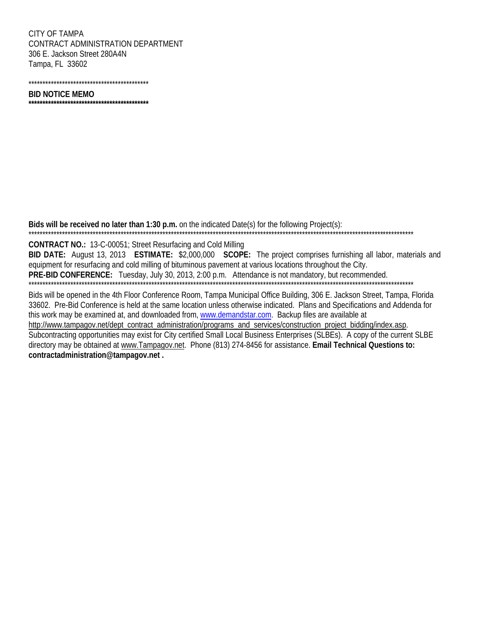CITY OF TAMPA CONTRACT ADMINISTRATION DEPARTMENT 306 E. Jackson Street 280A4N Tampa, FL 33602

## **BID NOTICE MEMO**

Bids will be received no later than 1:30 p.m. on the indicated Date(s) for the following Project(s):

**CONTRACT NO.: 13-C-00051; Street Resurfacing and Cold Milling** 

BID DATE: August 13, 2013 ESTIMATE: \$2,000,000 SCOPE: The project comprises furnishing all labor, materials and equipment for resurfacing and cold milling of bituminous pavement at various locations throughout the City. PRE-BID CONFERENCE: Tuesday, July 30, 2013, 2:00 p.m. Attendance is not mandatory, but recommended.

Bids will be opened in the 4th Floor Conference Room, Tampa Municipal Office Building, 306 E. Jackson Street, Tampa, Florida 33602. Pre-Bid Conference is held at the same location unless otherwise indicated. Plans and Specifications and Addenda for this work may be examined at, and downloaded from, www.demandstar.com. Backup files are available at http://www.tampagov.net/dept\_contract\_administration/programs\_and\_services/construction\_project\_bidding/index.asp. Subcontracting opportunities may exist for City certified Small Local Business Enterprises (SLBEs). A copy of the current SLBE directory may be obtained at www.Tampagov.net. Phone (813) 274-8456 for assistance. Email Technical Questions to: contractadministration@tampagov.net.